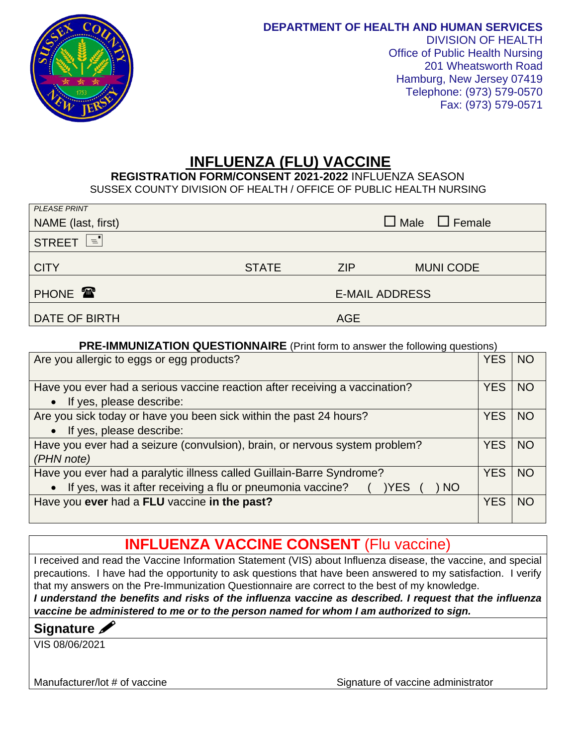

## **INFLUENZA (FLU) VACCINE**

 **REGISTRATION FORM/CONSENT 2021-2022** INFLUENZA SEASON SUSSEX COUNTY DIVISION OF HEALTH / OFFICE OF PUBLIC HEALTH NURSING

| <b>PLEASE PRINT</b> |                           |                       |                  |  |  |  |
|---------------------|---------------------------|-----------------------|------------------|--|--|--|
| NAME (last, first)  | $\Box$ Male $\Box$ Female |                       |                  |  |  |  |
| STREET E            |                           |                       |                  |  |  |  |
| <b>CITY</b>         | <b>STATE</b>              | <b>ZIP</b>            | <b>MUNI CODE</b> |  |  |  |
| PHONE <b>T</b>      |                           | <b>E-MAIL ADDRESS</b> |                  |  |  |  |
| DATE OF BIRTH       |                           | <b>AGE</b>            |                  |  |  |  |

## **PRE-IMMUNIZATION QUESTIONNAIRE** (Print form to answer the following questions)

| Are you allergic to eggs or egg products?                                   | YES        | <b>NO</b> |  |  |
|-----------------------------------------------------------------------------|------------|-----------|--|--|
| Have you ever had a serious vaccine reaction after receiving a vaccination? |            |           |  |  |
| • If yes, please describe:                                                  |            |           |  |  |
| Are you sick today or have you been sick within the past 24 hours?          | <b>YES</b> | <b>NO</b> |  |  |
| • If yes, please describe:                                                  |            |           |  |  |
| Have you ever had a seizure (convulsion), brain, or nervous system problem? |            |           |  |  |
| (PHN note)                                                                  |            |           |  |  |
| Have you ever had a paralytic illness called Guillain-Barre Syndrome?       | <b>YES</b> | <b>NO</b> |  |  |
| • If yes, was it after receiving a flu or pneumonia vaccine?<br>) NO<br>YES |            |           |  |  |
| Have you ever had a FLU vaccine in the past?                                | YES        | NO.       |  |  |
|                                                                             |            |           |  |  |

## **INFLUENZA VACCINE CONSENT** (Flu vaccine)

I received and read the Vaccine Information Statement (VIS) about Influenza disease, the vaccine, and special precautions. I have had the opportunity to ask questions that have been answered to my satisfaction. I verify that my answers on the Pre-Immunization Questionnaire are correct to the best of my knowledge.

*I understand the benefits and risks of the influenza vaccine as described. I request that the influenza vaccine be administered to me or to the person named for whom I am authorized to sign.*

## **Signature**

VIS 08/06/2021

Manufacturer/lot # of vaccine Signature of vaccine administrator